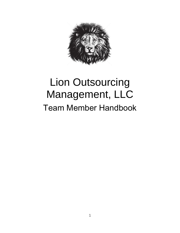

# Lion Outsourcing Management, LLC Team Member Handbook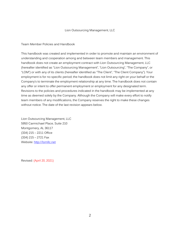#### Lion Outsourcing Management, LLC

#### Team Member Policies and Handbook

This handbook was created and implemented in order to promote and maintain an environment of understanding and cooperation among and between team members and management. This handbook does not create an employment contract with Lion Outsourcing Management, LLC (hereafter identified as "Lion Outsourcing Management", "Lion Outsourcing", "The Company", or "LOM") or with any of its clients (hereafter identified as "The Client", "The Client Company"). Your employment is for no specific period; the handbook does not limit any right on your behalf or the Company's to terminate the employment relationship at any time. The handbook does not contain any offer or intent to offer permanent employment or employment for any designated term. Revisions to the policies and procedures indicated in the handbook may be implemented at any time as deemed solely by the Company. Although the Company will make every effort to notify team members of any modifications, the Company reserves the right to make these changes without notice. The date of the last revision appears below.

Lion Outsourcing Management, LLC 5950 Carmichael Place, Suite 210 Montgomery, AL 36117 (334) 215 – 2211 Office (334) 215 – 2721 Fax Website: [http://lomllc.net](http://lomllc.net/)

Revised: (April 20, 2021)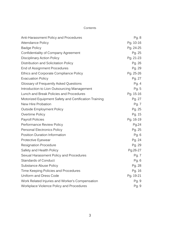## Contents

| Anti-Harassment Policy and Procedures                 | Pg. 8     |
|-------------------------------------------------------|-----------|
| Attendance Policy                                     | Pg. 10-16 |
| <b>Badge Policy</b>                                   | Pg. 24-25 |
| Confidentiality of Company Agreement                  | Pg. 25    |
| <b>Disciplinary Action Policy</b>                     | Pg. 21-23 |
| Distribution and Solicitation Policy                  | Pg. 26    |
| End of Assignment Procedures                          | Pg. 29    |
| Ethics and Corporate Compliance Policy                | Pg. 25-26 |
| <b>Evacuation Policy</b>                              | Pg. 27    |
| Glossary of Frequently Asked Questions                | Pg. 4     |
| Introduction to Lion Outsourcing Management           | Pg. 5     |
| Lunch and Break Policies and Procedures               | Pg. 15-16 |
| Motorized Equipment Safety and Certification Training | Pg. 27    |
| New Hire Probation                                    | Pg. 7     |
| <b>Outside Employment Policy</b>                      | Pg. 25    |
| Overtime Policy                                       | Pg. 15    |
| Payroll Policies                                      | Pg. 16-19 |
| Performance Review Policy                             | Pg.24     |
| Personal Electronics Policy                           | Pg. 25    |
| Position Duration Information                         | Pg. 6     |
| Protective Eyewear                                    | Pg. 24    |
| <b>Resignation Procedure</b>                          | Pg. 29    |
| Safety and Health Policy                              | Pg.26-27  |
| Sexual Harassment Policy and Procedures               | Pg. 7     |
| <b>Standards of Conduct</b>                           | Pg. 6     |
| Substance Abuse Policy                                | Pg. 28    |
| Time Keeping Policies and Procedures                  | Pg. 16    |
| Uniform and Dress Code                                | Pg. 19-21 |
| Work Related Injuries and Worker's Compensation       | Pg. 9     |
| Workplace Violence Policy and Procedures              | Pg. 9     |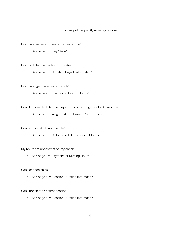#### Glossary of Frequently Asked Questions

How can I receive copies of my pay stubs?

 $\geq$  See page 17; "Pay Stubs"

How do I change my tax filing status?

 $\geq$  See page 17; "Updating Payroll Information"

How can I get more uniform shirts?

 $\geq$  See page 20; "Purchasing Uniform Items"

Can I be issued a letter that says I work or no longer for the Company?

 $\geq$  See page 18; "Wage and Employment Verifications"

Can I wear a skull cap to work?

 $\geq$  See page 19; "Uniform and Dress Code - Clothing"

My hours are not correct on my check.

 $\geq$  See page 17; "Payment for Missing Hours"

Can I change shifts?

 $\geq$  See page 6-7; "Position Duration Information"

Can I transfer to another position?

 $\geq$  See page 6-7; "Position Duration Information"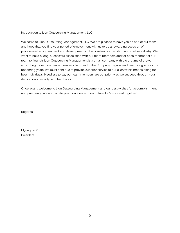Introduction to Lion Outsourcing Management, LLC

Welcome to Lion Outsourcing Management, LLC. We are pleased to have you as part of our team and hope that you find your period of employment with us to be a rewarding occasion of professional enlightenment and development in the constantly expanding automotive industry. We want to build a long, successful association with our team members and for each member of our team to flourish. Lion Outsourcing Management is a small company with big dreams of growth which begins with our team members. In order for the Company to grow and reach its goals for the upcoming years, we must continue to provide superior service to our clients; this means hiring the best individuals. Needless to say our team members are our priority as we succeed through your dedication, creativity, and hard work.

Once again, welcome to Lion Outsourcing Management and our best wishes for accomplishment and prosperity. We appreciate your confidence in our future. Let's succeed together!

Regards,

Myungjun Kim President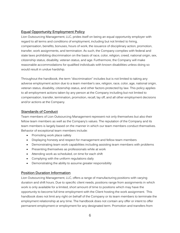# **Equal Opportunity Employment Policy**

Lion Outsourcing Management, LLC, prides itself on being an equal opportunity employer with regard to all terms and conditions of employment, including but not limited to hiring, compensation, benefits, bonuses, hours of work, the issuance of disciplinary action, promotion, transfer, work assignments, and termination. As such, the Company complies with federal and state laws prohibiting discrimination on the basis of race, color, religion, creed, national origin, sex, citizenship status, disability, veteran status, and age. Furthermore, the Company will make reasonable accommodations for qualified individuals with known disabilities unless doing so would result in undue hardship.

Throughout the handbook, the term "discrimination" includes but is not limited to taking any adverse employment action due to a team member's sex, religion, race, color, age, national origin, veteran status, disability, citizenship status, and other factors protected by law. This policy applies to all employment actions taken by any person at the Company including but not limited to compensation, transfer, termination, promotion, recall, lay off, and all other employment decisions and/or actions at the Company.

# **Standards of Conduct**

Team members of Lion Outsourcing Management represent not only themselves but also their fellow team members as well as the Company's values. The reputation of the Company and its team members is largely based on the manner in which our team members conduct themselves. Behavior of exceptional team members include:

- Promoting work place safety
- Displaying honesty and respect for management and fellow team members
- Demonstrating team work capabilities including assisting team members with problems
- Presenting themselves as professionals while at work
- Attending work as scheduled, on time for each shift
- Complying with the uniform regulations daily
- Demonstrating the ability to assume greater responsibility

# **Position Duration Information**

Lion Outsourcing Management, LLC, offers a range of manufacturing positions with varying duration and shift hours. Due to specific client needs, positions range from assignments in which work is only available for a limited, short amount of time to positions which may have the opportunity to become full time employment with the Client hosting the work assignment. This handbook does not limit any right on behalf of the Company or its team members to terminate the employment relationship at any time. The handbook does not contain any offer or intent to offer permanent employment or employment for any designated term. Promotion and transfers from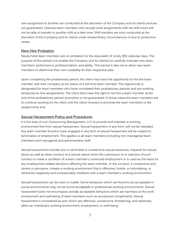one assignment to another are conducted at the discretion of the Company and its clients and are not guaranteed. Likewise team members who accept work assignments with set shift hours will not be able to transfer to another shift at a later time. Shift transfers are only conducted at the discretion of the Company and its clients under extraordinary circumstances or due to production needs.

## **New Hire Probation**

Newly hired team members are on probation for the equivalent of ninety (90) calendar days. The purpose of this period is to enable the Company and its client(s) to carefully evaluate new team members' performance, professionalism, and ability. This period is also set to allow new team members to determine their own suitability for their respective jobs.

Upon completing the probationary period, the client may have the opportunity to hire the team member with their company at the status of a full-time team member. This opportunity is designated for team members who have completed their probationary periods and are working temporary-to-hire assignments. The client does have the right to not hire a team member at the end of the probationary period; promotion is not guaranteed. In those cases the team members are to continue working for the client until the client chooses to promote the team members or the assignments end.

## **Sexual Harassment Policy and Procedures**

It is the duty of Lion Outsourcing Management, LLC to provide and maintain a working environment free from sexual harassment. Sexual harassment, in any form, will not be tolerated. Any team member found to have engaged in any form of sexual harassment will be subject to termination of employment. This applies to all team members including non-managerial team members and managerial and administrative staff.

Sexual harassment includes but is not limited to unwelcome sexual advances; requests for sexual favors as well as other conduct of a sexual nature when the submission to or rejection of such conduct is made a condition of a team member's continued employment or is used as the basis for any employment related decisions affecting the team member; or the conduct, if unwelcome and severe or pervasive, creates a working environment that is offensive, hostile, or intimidating, or otherwise negatively and unreasonably interferes with a team member's working environment.

Sexual harassment can be overt or subtle. Some behaviors which are found to be acceptable in social environments may not be found acceptable in professional working environments. Sexual harassment does not encompass socially acceptable behaviors which are harmless to the work environment and well-being of team members such as occasional compliments. Sexual harassment is considered as acts which are offensive, unwelcome, threatening, and adversely affect an individual's working environment, employment, or well-being.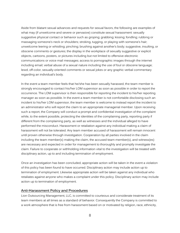Aside from blatant sexual advances and requests for sexual favors, the following are examples of what may (if unwelcome and severe or pervasive) constitute sexual harassment: sexually suggestive physical contact or behavior such as groping; grabbing; kissing; fondling; rubbing or massaging someone's neck or shoulders; stroking, tugging, or playing with someone's hair; unwelcome leering or whistling; pinching; brushing against another's body; suggestive, insulting, or obscene comments or gestures; the display in the workplace of sexually suggestive or explicit objects, cartoons, posters, or pictures including but not limited to offensive electronic communications or voice mail messages; access to pornographic images through the internet including email; verbal abuse of a sexual nature including the use of foul or obscene language; lewd, off-color, sexually-oriented comments or sexual jokes or any graphic verbal commentary regarding an individual's body.

In the event a team member feels that he/she has been sexually harassed, the team member is strongly encouraged to contact his/her LOM supervisor as soon as possible in order to report the occurrence. The LOM supervisor is then responsible for reporting the incident to his/her reporting manager as soon as possible. In the event a team member is not comfortable disclosing such an incident to his/her LOM supervisor, the team member is welcome to instead report the incident to an administrator who will report the claim to an appropriate managerial member. Upon receiving such a report, the Company will conduct a prompt and confidential investigation of the complaint while, to the extent possible, protecting the identities of the complaining party, reporting party if different from the complaining party, as well as witnesses and the individual alleged to have performed the misconduct. Harassment or retaliation against any individual making a claim of harassment will not be tolerated. Any team member accused of harassment will remain innocent until proven otherwise through investigation. Cooperation by all parties involved in the claim including the team member(s) making the claim, the accused team member(s), and witness(es) are necessary and expected in order for management to thoroughly and promptly investigate the claim. Failure to cooperate or withholding information vital to the investigation will be treated with disciplinary action, up to and including termination of employment.

Once an investigation has been concluded, appropriate action will be taken in the event a violation of this policy has been found to have occurred. Disciplinary action may include action up to termination of employment. Likewise appropriate action will be taken against any individual who retaliates against anyone who makes a complaint under this policy. Disciplinary action may include action up to termination of employment.

## **Anti-Harassment Policy and Procedures**

Lion Outsourcing Management, LLC, is committed to courteous and considerate treatment of its team members at all times as a standard of behavior. Consequently the Company is committed to a work atmosphere that is free from harassment based on or motivated by religion, race, ethnicity,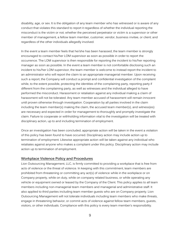disability, age, or sex. It is the obligation of any team member who has witnessed or is aware of any conduct that violates this standard to report it regardless of whether the individual reporting the misconduct is the victim or not; whether the perceived perpetrator or victim is a supervisor or other member of management, a fellow team member, customer, vendor, business invitee, or client; and regardless of the other individuals allegedly involved.

In the event a team member feels that he/she has been harassed, the team member is strongly encouraged to contact his/her LOM supervisor as soon as possible in order to report the occurrence. The LOM supervisor is then responsible for reporting the incident to his/her reporting manager as soon as possible. In the event a team member is not comfortable disclosing such an incident to his/her LOM supervisor, the team member is welcome to instead report the incident to an administrator who will report the claim to an appropriate managerial member. Upon receiving such a report, the Company will conduct a prompt and confidential investigation of the complaint while, to the extent possible, protecting the identities of the complaining party, reporting party if different from the complaining party, as well as witnesses and the individual alleged to have performed the misconduct. Harassment or retaliation against any individual making a claim of harassment will not be tolerated. Any team member accused of harassment will remain innocent until proven otherwise through investigation. Cooperation by all parties involved in the claim including the team member(s) making the claim, the accused team member(s), and witness(es) are necessary and expected in order for management to thoroughly and promptly investigate the claim. Failure to cooperate or withholding information vital to the investigation will be treated with disciplinary action, up to and including termination of employment.

Once an investigation has been concluded, appropriate action will be taken in the event a violation of this policy has been found to have occurred. Disciplinary action may include action up to termination of employment. Likewise appropriate action will be taken against any individual who retaliates against anyone who makes a complaint under this policy. Disciplinary action may include action up to termination of employment.

## **Workplace Violence Policy and Procedures**

Lion Outsourcing Management, LLC, is firmly committed to providing a workplace that is free from acts of violence or the threat of violence. In keeping with this commitment, team members are prohibited from threatening or committing any act(s) of violence while in the workplace or on Company property, while on duty, while on company related business, or while operating any vehicle or equipment owned or leased by the Company of the Client. This policy applies to all team members including non-managerial team members and managerial and administrative staff. It also applied to third parties including team member guests who are on Company property. Lion Outsourcing Management will not tolerate individuals including team members who make threats, engage in threatening behavior, or commit acts of violence against fellow team members, guests, visitors, or other individuals. Compliance with this policy is every team member's responsibility.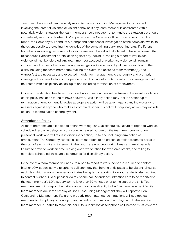Team members should immediately report to Lion Outsourcing Management any incident involving the threat of violence or violent behavior. If any team member is confronted with a potentially violent situation, the team member should not attempt to handle the situation but should immediately report it to his/her LOM supervisor or the Company office. Upon receiving such a report, the Company will conduct a prompt and confidential investigation of the complaint while, to the extent possible, protecting the identities of the complaining party, reporting party if different from the complaining party, as well as witnesses and the individual alleged to have performed the misconduct. Harassment or retaliation against any individual making a report of workplace violence will not be tolerated. Any team member accused of workplace violence will remain innocent until proven otherwise through investigation. Cooperation by all parties involved in the claim including the team member(s) making the claim, the accused team member(s), and witness(es) are necessary and expected in order for management to thoroughly and promptly investigate the claim. Failure to cooperate or withholding information vital to the investigation will be treated with disciplinary action, up to and including termination of employment.

Once an investigation has been concluded, appropriate action will be taken in the event a violation of this policy has been found to have occurred. Disciplinary action may include action up to termination of employment. Likewise appropriate action will be taken against any individual who retaliates against anyone who makes a complaint under this policy. Disciplinary action may include action up to termination of employment.

#### **Attendance Policy**

All team members are expected to attend work regularly, as scheduled. Failure to report to work as scheduled results in delays in production, increased burden on the team members who are present at work, and will result in disciplinary action, up to and including termination of employment. The Company expects all team members to be present at their designated areas at the start of each shift and to remain in their work areas except during break and meal periods. Failure to arrive to work on time, leaving one's workstation for excessive breaks, and failing to complete scheduled shifts are also grounds for disciplinary action.

In the event a team member is unable to report to report to work, he/she is required to contact his/her LOM supervisor via telephone call each day that he/she anticipates to be absent. Likewise each day which a team member anticipates being tardy reporting to work, he/she is also required to contact his/her LOM supervisor via telephone call. Attendance infractions are to be reported to the team member's LOM supervisor no later than 30 minutes prior to the start of the shift. Team members are not to report their attendance infractions directly to the Client management. While team members are in the employ of Lion Outsourcing Management, they will report to Lion Outsourcing Management. Failure to properly report attendance infractions will subject team members to disciplinary action, up to and including termination of employment. In the event a team member is unable to reach his/her LOM supervisor via telephone call, he/she must leave the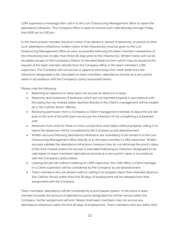LOM supervisor a message then call in to the Lion Outsourcing Management office to report the attendance infraction. The Company office is open to receive such calls Monday through Friday from 8:00 am to 5:00 pm.

In the event a team member has prior notice of an absence, period of absences, or period of other such attendance infractions, written notice of the infraction(s) must be given to the Lion Outsourcing Management office as soon as possible following the team member's awareness of the infraction(s) but no later than three (3) days prior to the infraction(s). Written notice will not be accepted except on the Company's Notice of Intended Absence form which may be issued at the request of the team member directly from the Company office or the team member's LOM supervisor. The Company will not excuse or approve time away from work aside from the infractions designated to be calculated on team members' attendance records at a zero points value in accordance with the Company's policy expressed herein.

Please note the following:

- Reporting an absence or tardy does not excuse an absence or tardy.
- Absences and instances of tardiness which are not reported properly in accordance with this policy but are instead solely reported directly to the Client's management will be treated as a "No Call/No Show" offense.
- Receiving permission from a Company or Client management member to leave the job site prior to the end of the shift does not excuse the infraction of not completing a scheduled shift.
- Absences from work for three or more consecutive work dates without properly calling in to report the absences will be considered by the Company as job abandonment.
- Written excuses following attendance infractions are mandatory to be turned in to the Lion Outsourcing Management office directly or to the team member's LOM supervisor. Written excuses validate the attendance infractions; however they do not eliminate the point's value of the time missed unless the excuse is submitted following an infraction designated to be calculated on team members' attendance records at a zero point's value in accordance with the Company's policy below.
- Leaving the job site without notifying an LOM supervisor, the LOM office, a Client manager, or a Client supervisor will be considered by the Company as job abandonment.
- Team members who are absent without calling in to properly report their intended absence (No Call/No Show) within their first 30 days of employment will be released from their assignment with the Company.

Team members' attendance will be monitored by a point based system. In the event a team member exceeds the amount of attendance points designated for his/her tenure within the Company, his/her assignment will end. Newly hired team members may not accrue any attendance infractions within the first 30 days of employment. Team members who are within their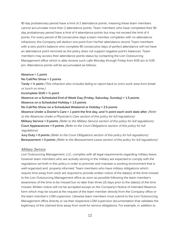90 day probationary period have a limit of 2 attendance points, meaning these team members cannot accumulate more than 2 attendance points. Team members who have completed their 90 day probationary period have a limit of 4 attendance points but may not exceed the limit of 4 points. For every period of 90 consecutive days a team member completes with no attendance infractions, the Company will deduct one point from his/her attendance record. Team members with a zero point's balance who complete 90 consecutive days of perfect attendance will not have an attendance point removed as the policy does not support negative point's balances. Team members may access their attendance points status by contacting the Lion Outsourcing Management office which is able receive such calls Monday through Friday from 8:00 am to 5:00 pm. Attendance points will be accumulated as follows:

#### **Absence = 1 point**

#### **No Call/No Show = 2 points**

**Tardy = ½ point** (This infraction also includes failing to report back to one's work area from break or lunch on time.)

**Incomplete Shift = ½ point**

**Absence on a Scheduled End of Week Day (Friday, Saturday, Sunday) = 1.5 points Absence on a Scheduled Holiday = 1.5 points**

**No Call/No Show on a Scheduled Weekend or Holiday = 2.5 points**

**Absence Under a Doctor's Care = 1 point the first day, and ½ point each work date after** (Refer to the Absences Under a Physician's Care section of this policy for full regulations) **Military Service = 0 points** (Refer to the Military Service section of this policy for full regulations) **Court Appearances = 0 points** (Refer to the Court Obligations section of this policy for full regulations)

**Jury Duty = 0 points** (Refer to the Court Obligations section of this policy for full regulations) **Bereavement = 0 points** (Refer to the Bereavement Leave section of this policy for full regulations)

#### Military Service

Lion Outsourcing Management, LLC, complies with all legal requirements regarding military leave; however team members who are actively serving in the military are expected to comply with the regulations set forth in this policy in order to promote and maintain a working environment that is well-organized and properly informed. Team members who have military obligations which require time away from work are required to provide written notice of the date(s) of the time missed to the Lion Outsourcing Management office as soon as possible following the team member's awareness of the time to be missed but no later than three (3) days prior to the date(s) of the time missed. Written notice will not be accepted except on the Company's Notice of Intended Absence form which may be issued at the request of the team member directly from the Company office or the team member's LOM supervisor. Likewise team members must submit to the Lion Outsourcing Management office directly or via their respective LOM supervisor documentation that validates the legitimacy of the claimed time away from work for service obligations. For example, in addition to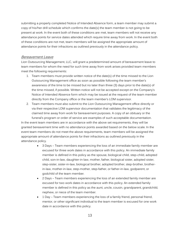submitting a properly completed Notice of Intended Absence form, a team member may submit a copy of his/her drill schedule which confirms the date(s) the team member is not going to be present at work. In the event both of these conditions are met, team members will not receive any attendance points for service dates attended which require time away from work. In the event both of these conditions are not met, team members will be assigned the appropriate amount of attendance points for their infractions as outlined previously in the attendance policy.

#### Bereavement Leave

Lion Outsourcing Management, LLC, will grant a predetermined amount of bereavement leave to team members for whom the need for such time away from work arises provided team members meet the following requirements:

- 1. Team members must provide written notice of the date(s) of the time missed to the Lion Outsourcing Management office as soon as possible following the team member's awareness of the time to be missed but no later than three (3) days prior to the date(s) of the time missed, if possible. Written notice will not be accepted except on the Company's Notice of Intended Absence form which may be issued at the request of the team member directly from the Company office or the team member's LOM supervisor.
- 2. Team members must also submit to the Lion Outsourcing Management office directly or via their respective LOM supervisor documentation that validates the legitimacy of the claimed time away from work for bereavement purposes. A copy of an obituary or the funeral's program or order of service are examples of such acceptable documentation.

In the event team members are in accordance with the above set requirements, they will be granted bereavement time with no attendance points awarded based on the below scale. In the event team members do not meet the above requirements, team members will be assigned the appropriate amount of attendance points for their infractions as outlined previously in the attendance policy.

- 3 Days Team members experiencing the loss of an immediate family member are excused for three work dates in accordance with this policy. An immediate family member is defined in this policy as the spouse, biological child, step-child, adopted child, son-in-law, daughter-in-law, mother, father, biological sister, adopted sister, step-sister, sister-in-law, biological brother, adopted brother, step-brother, brotherin-law, mother-in-law, step-mother, step-father, or father-in-law, godparent, or godchild of the team member.
- 2 Days Team members experiencing the loss of an extended family member are excused for two work dates in accordance with this policy. An extended family member is defined in this policy as the aunt, uncle, cousin, grandparent, grandchild, nephew, or niece of the team member.
- 1 Day Team members experiencing the loss of a family friend, personal friend, mentor, or other significant individual to the team member is excused for one work date in accordance with this policy.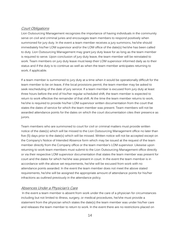# Court Obligations

Lion Outsourcing Management recognizes the importance of having individuals in the community serve on civil and criminal juries and encourages team members to respond positively when summoned for jury duty. In the event a team member receives a jury summons, he/she should immediately his/her LOM supervisor and/or the LOM office of the date(s) he/she has been called to duty. Lion Outsourcing Management may grant jury duty leave for as long as the team member is required to serve. Upon conclusion of jury duty leave, the team member will be reinstated to work. Team members on jury duty leave must keep their LOM supervisor informed daily as to their status and if the duty is to continue as well as when the team member anticipates returning to work, if applicable.

If a team member is summoned to jury duty at a time when it would be operationally difficult for the team member to be on leave, if the local provisions permit, the team member may be asked to seek rescheduling of the date of jury service. If a team member is excused from jury duty at least three hours before the end of his/her regular scheduled shift, the team member is expected to return to work effective the remainder of that shift. At the time the team member returns to work, he/she is required to provide his/her LOM supervisor written documentation from the court that states the dates of service for which the team member was present. Team members will not be awarded attendance points for the dates on which the court documentation cites their presence as jurors.

Team members who are summoned to court for civil or criminal matters must provide written notice of the date(s) which will be missed to the Lion Outsourcing Management office no later than five (5) days prior to the date(s) which will be missed. Written notice will not be accepted except on the Company's Notice of Intended Absence form which may be issued at the request of the team member directly from the Company office or the team member's LOM supervisor. Likewise upon returning to work team members must submit to the Lion Outsourcing Management office directly or via their respective LOM supervisor documentation that states the team member was present for court and the dates for which he/she was present in court. In the event the team member is in accordance with the above set requirements, he/she will be excused from work with no attendance points awarded. In the event the team member does not meet the above stated requirements, he/she will be assigned the appropriate amount of attendance points for his/her infractions as outlined previously in the attendance policy.

# Absences Under a Physician's Care

In the event a team member is absent from work under the care of a physician for circumstances including but not limited to illness, surgery, or medical procedures, he/she must provide a statement from the physician which states the date(s) the team member was under his/her care and releases the team member to return to work. In the event there are no restrictions placed on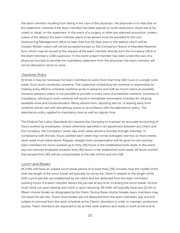the team member resulting from being in the care of the physician, the physician is to note that on the statement. Likewise if the team member has been placed on work restrictions, those are to be noted, in detail, on the statement. In the event of a surgery or other pre-planned procedure, written notice of the date(s) the team member plans to be absent must be provided to the Lion Outsourcing Management office no later than five (5) days prior to the date(s) which will be missed. Written notice will not be accepted except on the Company's Notice of Intended Absence form which may be issued at the request of the team member directly from the Company office or the team member's LOM supervisor. In the event a team member has been under the care of a physician but fails to provide the mandatory statement from the physician, the team member will not be allowed to return to work.

## Overtime Policy

At times it may be necessary for team members to work more than forty (40) hours in a single work week. Such work constitutes overtime. The supervisor scheduling the overtime is responsible for making every effort to schedule overtime as far in advance and with as much notice as possible; however advance notice is not possible to provide in every case of scheduled overtime. Overtime is mandatory; refusing to work overtime will result in immediate termination of duties for refusing available work and insubordination. Being absent from, reporting late for, or leaving early from overtime will be met with disciplinary action in accordance with the attendance policy. The attendance policy applied to mandatory time as well as regular time.

The Federal Fair Labor Standards Act requires the Company to maintain an accurate accounting of hours worked by employees. Unless otherwise specified in an agreement between any Client and the Company, the Company's seven day work week period is Sunday through Saturday. In compliance with the law, hours worked each week may not be averaged over two or more weeks; each week must stand alone. Regular, straight-time compensation will be given to non-exempt team members for hours worked up to forty (40) hours in the established work week. In the event any non-exempt employee exceeds forty (40) hours in the established work week, all hours worked that exceed forty (40) will be compensated at the rate of time and one half.

#### Lunch and Breaks

All shifts will have an unpaid lunch break period of at least thirty (30) minutes near the middle of the shift; the length of the lunch break will typically be set by the Client in relation to the length of the shift. Lunch periods are established by the client and are deducted from the team members' working hours. If a team member leaves the job-site at any time, including the lunch break, he/she must clock out upon leaving and clock in upon returning. All shifts will typically have two (2) ten to fifteen minute breaks as designated by the Client. During these shorter breaks, team members may not leave the job-site. These short breaks are not deducted from the team members' pay and are subject to removal from the work schedule at the Client's discretion in order to maintain production quotas. Team members are expected to be at their work stations and ready to work at the end of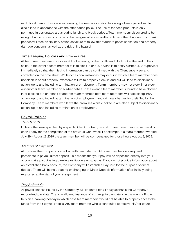each break period. Tardiness in returning to one's work station following a break period will be disciplined in accordance with the attendance policy. The use of tobacco products is only permitted in designated areas during lunch and break periods. Team members discovered to be using tobacco products outside of the designated areas and/or at times other than lunch or break periods will face disciplinary action as failure to follow this standard poses sanitation and property damage concerns as well as the risk of fire hazard.

# **Time Keeping Policies and Procedures**

All team members are to clock in at the beginning of their shifts and clock out at the end of their shifts. In the event a team member fails to clock in or out, he/she is to notify his/her LOM supervisor immediately so that the missing information can be confirmed with the Client supervisor and corrected on the time sheet. While occasional instances may occur in which a team member does not clock in or out properly, excessive failure to properly clock in and out will lead to disciplinary action, up to and including termination of employment. Team members may not clock in or clock out another team member on his/her behalf. In the event a team member is found to have clocked in or clocked out on behalf of another team member, both team members will face disciplinary action, up to and including termination of employment and criminal charges for theft filed by the Company. Team members who leave the premises while clocked in are also subject to disciplinary action, up to and including termination of employment.

# **Payroll Policies**

## Pay Periods

Unless otherwise specified by a specific Client contract, payroll for team members is paid weekly each Friday for the completion of the previous work week. For example, if a team member worked July 29 – August 2, 2019 the team member will be compensated for those hours August 9, 2019.

# Method of Payment

At this time the Company is enrolled with direct deposit. All team members are required to participate in payroll direct deposit. This means that your pay will be deposited directly into your account at a participating banking institution each payday. If you do not provide information about an established bank account, the Company will establish a PayCard for the purpose of direct deposit. There will be no updating or changing of Direct Deposit information after initially being registered at the start of your assignment.

# Pay Schedule

All payroll checks issued by the Company will be dated for a Friday as that is the Company's recognized pay date. The only allowed instance of a change in pay date is in the event a Friday falls on a banking holiday in which case team members would not be able to properly access the funds from their payroll checks. Any team member who is scheduled to receive his/her payroll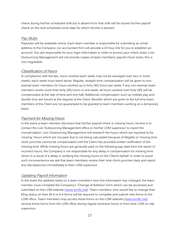check during his/her scheduled shift but is absent from that shift will be issued his/her payroll check on the next scheduled work date for which he/she is present.

# Pay Stubs

Paystubs will be available online. Each team member is responsible for submitting an email address to the Company; our accountant firm will provide a 24 hour link for you to establish an account. You are responsible for your login information in order to access your check stubs. Lion Outsourcing Management will not provide copies of team members' payroll check stubs; this is non-negotiable.

# Classification of Hours

In compliance with the law, hours worked each week may not be averaged over two or more weeks; each week must stand alone. Regular, straight-time compensation will be given to nonexempt team members for hours worked up to forty (40) hours per week. If any non-exempt team members works more than forty (40) hours in one week, all hours worked over forty (40) will be compensated at the rate of time and one half. Additional compensation such as holiday pay and double time are issued at the request of the Client. Benefits which are given to the full time team members of the Client are not guaranteed to be granted to team members working on a temporary basis.

# Payment for Missing Hours

In the event a team member discovers that his/her payroll check is missing hours, he/she is to contact the Lion Outsourcing Management office or his/her LOM supervisor to report the miscalculation. Lion Outsourcing Management will research the hours which are reported to be missing. Hours which are not paid due to not being calculated because of illegible or missing time clock punches cannot be compensated until the Client has provided written verification of the missing time. While missing hours are generally paid on the following pay date from the report of incorrect hours, the Company is not responsible for any delay in compensation for missing time which is a result of a delay in verifying the missing hours on the Client's behalf. In order to avoid such inconvenience we ask that team members review their time clock punches daily and report any discrepancies immediately to their LOM supervisor.

# Updating Payroll Information

In the event the address listed on a team member's new hire information has changed, the team member must complete the Company's "Change of Address" form which can be accessed and submitted on the LOM website [\(www.lomllc.net\)](http://www.lomllc.net/). Team members who would like to change their filing status on their W-4 or A-4 forms will be required to complete and submit new forms to the LOM office. Team members may access these forms on the LOM website [\(www.lomllc.net\)](http://www.lomllc.net/), receive these forms from the LOM office during regular business hours or from their LOM on-site supervisor.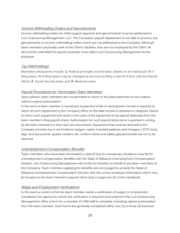# Income Withholding Orders and Garnishments

Income withholding orders for child support payment and garnishments must be addressed to Lion Outsourcing Management, LLC. The Company's payroll department is not able to process any garnishments or income withholding orders which are not addressed to the Company. Although team members physically work at the Client's facilities, they are not employed by the Client. All documents submitted for payroll purposes must reflect Lion Outsourcing Management as the employer.

# Tax Withholdings

Mandatory deductions include: **1.** Federal and state income taxes (based on an individual's W-4 filing status; W-4 filing status may be changed at any time by filing a new W-4 form with the Payroll office); **2.** Social Security taxes; and **3.** Medicare taxes.

# Payroll Procedures for Terminated Team Members

Upon release, team members are not permitted to return to the plant premises for any reason without explicit authorization.

In the event a team member is issued any equipment while on assingment, he/she is required to return all such equipment to the Company office on the date he/she is released or resigned. Failure to return such equipment will result in the costs of the equipment to be payroll deducted from the team member's final payroll check. Authorization for such payroll deductions is granted in writing by the team members in their new hire documents. Equipment that must be returned to the Company includes but it not limited to badges; radios included batteries and chargers; LOTO locks, tags, and documents; quality markers; etc. Uniform shirts and safety glasses/shields are not to be returned.

# Unemployment Compensation Benefits

Team members who have been terminated or laid off due to a temporary shutdown may file for unemployment compensation benefits with the State of Alabama Unemployment Compensation Division. Lion Outsourcing Management will not file for benefits on behalf of any team members of the Company. Team members applying for benefits are encouraged to provide the State of Alabama Unemployment Compensation Division with the correct employer information which may be located on the team member's payroll check stub or page two (2) of this handbook.

# Wage and Employment Verifications

In the event a current or former team member needs a verification of wages or employment completed, the agency for whom the verification is required must submit to the Lion Outsourcing Management office a form for a member of LOM staff to complete, including signed authorization from the team member. Such forms are generally completed within one (1) to three (3) business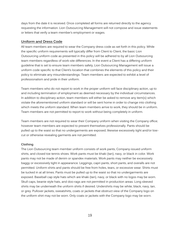days from the date it is received. Once completed all forms are returned directly to the agency requesting the information. Lion Outsourcing Management will not compose and issue statements or letters that verify a team member's employment or wages.

#### **Uniform and Dress Code**

All team members are required to wear the Company dress code as set forth in this policy. While the specific uniform requirements will typically differ from Client to Client, the basic Lion Outsourcing uniform code as presented in this policy will be adhered to by all Lion Outsourcing team members regardless of work-site differences. In the event a Client has a differing uniform guideline that is set to ensure team members safety, Lion Outsourcing Management will issue a uniform code specific to that Client's location that combines the elements of this policy and their policy to eliminate any misunderstandings. Team members are expected to exhibit a level of professionalism and pride in their uniform.

Team members who do not report to work in the proper uniform will face disciplinary action, up to and including termination of employment as deemed necessary by the individual circumstances. In addition to disciplinary action, team members will either be asked to remove any item(s) which violate the aforementioned uniform standard or will be sent home in order to change into clothing which meets the uniform standard. When team members arrive to work, they should be in uniform. Team members are not permitted to report to work without being completely in uniform.

Team members are not required to wear their Company uniform when visiting the Company office; however team members are expected to present themselves professionally. Pants should be pulled up to the waist so that no undergarments are exposed; likewise excessively tight and/or lowcut or otherwise revealing garments are not permitted.

#### **Clothing**

The Lion Outsourcing team member uniform consists of work pants, Company-issued uniform shirts, and closed toe tennis shoes. Work pants must be khaki (tan), navy, or black in color. Work pants may not be made of denim or spandex materials. Work pants may neither be excessively baggy or excessively tight in appearance. Leggings, capri pants, short pants, and overalls are not permitted. Uniform shirts and pants should be free from holes, tears, or excessive wear. Shirts must be tucked in at all times. Pants must be pulled up to the waist so that no undergarments are exposed. Baseball cap style hats which are khaki (tan), navy, or black with no logos may be worn. Skull caps, beanie style hats, and doo-rags are not permitted in production areas. Long sleeved shirts may be underneath the uniform shirts if desired. Undershirts may be white, black, navy, tan, or grey. Pullover jackets, sweatshirts, coats or jackets that obstruct view of the Company logo on the uniform shirt may not be worn. Only coats or jackets with the Company logo may be worn.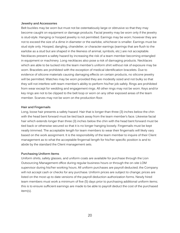#### **Jewelry and Accessories**

Belt buckles may be worn but must not be ostentatiously large or obtrusive so that they may become caught on equipment or damage products. Facial jewelry may be worn only if the jewelry is stud-style. Hanging or hooped jewelry is not permitted. Earrings may be worn; however they are not to exceed the size of a dime in diameter or the earlobe, whichever is smaller. Earrings must be stud style only. Hooped, dangling, chandelier, or character earrings (earrings that are flush to the earlobe as a stud but are shaped in the likeness of animal, symbols, etc.) are not acceptable. Necklaces present a safety hazard by increasing the risk of a team member becoming entangled in equipment or machinery. Long necklaces also pose a risk of damaging products. Necklaces which are able to be tucked into the team member's uniform shirt without risk of exposure may be worn. Bracelets are prohibited with the exception of medical identification bracelets. Due to evidence of silicone materials causing damaging effects on certain products, no silicone jewelry will be permitted. Watches may be worn provided they are modestly sized and not bulky so that they will not interfere with team member's ability to perform his/her job safely. Rings are prohibited from wear except for wedding and engagement rings. All other rings may not be worn. Keys and/or key rings are not to be clipped to the belt loop or worn on any other exposed areas of the team member. Scarves may not be worn on the production floor.

#### **Hair and Fingernails**

Long, loose hair presents a safety hazard. Hair that is longer than three (3) inches below the chin with the head bent forward must be tied back away from the team member's face. Likewise facial hair which extends longer than three (3) inches below the chin with the head bent forward must be tied back or otherwise secured so that it is no longer hanging loosely. Fingernails must be kept neatly trimmed. The acceptable length for team members to wear their fingernails will likely vary based on the work assignment. It is the responsibility of the team member to inquire of their Client management as to what the acceptable fingernail length for his/her specific position is and to abide by the standard the Client management sets.

#### **Purchasing Uniform Items**

Uniform shirts, safety glasses, and uniform coats are available for purchase through the Lion Outsourcing Management office during regular business hours or through the on-site LOM supervisor during his/her working hours. All uniform purchases are payroll deducted; the Company will not accept cash or checks for any purchase. Uniform prices are subject to change; prices are listed on the most up to date versions of the payroll deduction authorization forms. Newly hired team members must work a minimum of five (5) days prior to purchasing additional uniform items; this is to ensure sufficient earnings are made to be able to payroll deduct the cost of the purchased item(s).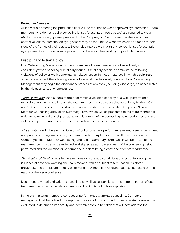#### **Protective Eyewear**

All individuals entering the production floor will be required to wear approved eye protection. Team members who do not require corrective lenses (prescription eye glasses) are required to wear ANSI approved safety glasses provided by the Company or Client. Team members who wear corrective lenses (prescription eye glasses) may be required to wear eye shields attached to both sides of the frames of their glasses. Eye shields may be worn with any correct lenses (prescription eye glasses) to ensure adequate protection of the eyes while working in production areas.

## **Disciplinary Action Policy**

Lion Outsourcing Management strives to ensure all team members are treated fairly and consistently when handling disciplinary issues. Disciplinary action is administered following violations of policy or work performance related issues. In those instances in which disciplinary action is warranted, the following steps will generally be followed; however, Lion Outsourcing Management may begin the disciplinary process at any step (including discharge) as necessitated by the violation and/or circumstances.

Verbal Warning: When a team member commits a violation of policy or a work performance related issue is first made known, the team member may be counseled verbally by his/her LOM and/or Client supervisor. The verbal warning will be documented on the Company's "Team Member Counseling and Action Summary Form" which will be presented to the team member in order to be reviewed and signed as acknowledgment of the counseling being performed and the violation or performance problem being clearly and effectively addressed.

Written Warning: In the event a violation of policy or a work performance related issue is committed and prior counseling was issued, the team member may be issued a written warning on the Company's "Team Member Counseling and Action Summary Form" which will be presented to the team member in order to be reviewed and signed as acknowledgment of the counseling being performed and the violation or performance problem being clearly and effectively addressed.

Termination of Employment: In the event one or more additional violations occur following the issuance of a written warning, the team member will be subject to termination. As stated previously, one's employment may be terminated without first receiving counseling based on the nature of the issue or offense.

Documented verbal and written counseling as well as suspensions are a permanent part of each team member's personnel file and are not subject to time limits or expiration.

In the event a team member's conduct or performance warrants counseling, Company management will be notified. The reported violation of policy or performance related issue will be evaluated to determine its severity and corrective step to be taken that will best address the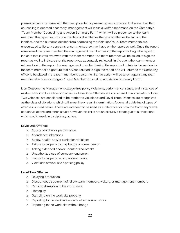present violation or issue with the most potential of preventing reoccurrence. In the event written counseling is deemed necessary, management will issue a written reprimand on the Company's "Team Member Counseling and Action Summary Form" which will be presented to the team member. The report will indicate the date of the offense, the type of offense, the facts of the incident, and the outcome desired from addressing the violation/issue. Team members are encouraged to list any concerns or comments they may have on the report as well. Once the report is reviewed the team member, the management member issuing the report will sign the report to indicate that is was reviewed with the team member. The team member will be asked to sign the report as well to indicate that the report was adequately reviewed. In the event the team member refuses to sign the report, the management member issuing the report will notate in the section for the team member's signature that he/she refused to sign the report and will return to the Company office to be placed in the team member's personnel file. No action will be taken against any team member who refuses to sign a "Team Member Counseling and Action Summary Form".

Lion Outsourcing Management categorizes policy violations, performance issues, and instances of misbehavior into three levels of offenses. Level One Offenses are considered minor violations. Level Two Offenses are considered to be moderate violations; and Level Three Offenses are recognized as the class of violations which will most likely result in termination. A general guideline of types of offenses is listed below. These are intended to be used as a reference for how the Company views certain violations and other issues; however this list is not an exclusive catalogue of all violations which could result in disciplinary action.

#### **Level One Offense**

- $\geq$  Substandard work performance
- $\geq$  Attendance Infractions
- $\geq$  Safety, health, and/or sanitation violations
- $\geq$  Failure to properly display badge on one's person
- $\geq$  Taking extended and/or unauthorized breaks
- $\geq$  Unauthorized use of company equipment
- $\geq$  Failure to properly record working hours
- $\geq$  Violations of work-site's parking policy

## **Level Two Offense**

- $\geq$  Delaying production
- $\geq$  Discourteous treatment of fellow team members, visitors, or management members
- $\geq$  Causing disruption in the work place
- $\geq$  Horseplay
- $\geq$  Gambling on the work-site property
- $\geq$  Reporting to the work-site outside of scheduled hours
- $\geq$  Reporting to the work-site without badge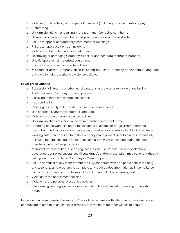- $\geq$  Violating Confidentiality of Company Agreement (including discussing rates of pay)
- $\geq$  Fraternizing
- $\geq$  Uniform violations not resulting in the team member being sent home
- $\geq$  Utilizing another team member's badge to gain access to the work-site
- $\geq$  Failure to appear at mandatory team member meetings
- $\geq$  Failure to report accidents or incidents
- $\geq$  Violation of distribution and solicitation rule
- $\geq$  Destroying or damaging Company, Client, or another team member's property
- $\geq$  Unsafe operation of motorized equipment
- $\geq$  Failure to comply with work-site policies
- $\geq$  Misconduct at the Company office including the use of profanity or slanderous language and violation of the workplace violence policies

## **Level Three Offense**

- $\geq$  Possession of firearms or other lethal weapons at the work-site inside of the facility
- $\geq$  Theft of private, Company, or Client property
- $\geq$  Falsifying records or misrepresenting facts
- $\geq$  Insubordination
- $\geq$  Refusing to comply with mandatory overtime requirements
- $\geq$  Use of profanity and/or slanderous language
- $\geq$  Violation of the workplace violence policies
- $\geq$  Uniform violations resulting in the team member being sent home
- $\geq$  Reporting to the work-site under the influence of alcohol or drugs (Team members prescribed medications which may cause drowsiness or otherwise inhibit him/her from working safely are required to notify Company management prior to hire or immediately following the prescription of such medications if they are prescribed during the team member's period of employment.)
- $\geq$  Manufacture, distribution, dispensing, possession, use, transfer, or sale of alcoholic beverages, controlled substances (illegal drugs), and/or prescription medications without a valid prescription while on Company or Client property
- $\geq$  Failure or refusal of any team member to fully cooperate with and participate in the drug and alcohol testing program, to complete any required documentation as in compliance with such programs, and/or to submit to a drug and alcohol screening test
- $\geq$  Violation of the harassment policies
- $\geq$  Violation of the personal electronics policies
- $\geq$  Intentional gross negligence of duties including but not limited to sleeping during shift hours

In the event a team member believes his/her violations/issues with attendance, performance, or conduct are related to or caused by a disability and the team member wishes to acquire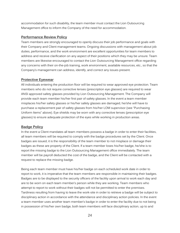accommodation for such disability, the team member must contact the Lion Outsourcing Management office to inform the Company of the need for accommodation.

## **Performance Review Policy**

Team members are strongly encouraged to openly discuss their job performance and goals with their Company and Client management teams. Ongoing discussions with management about job duties, performance, and the work environment are excellent opportunities for team members to address and receive clarification on any aspect of their positions which they may be unsure. Team members are likewise encouraged to contact the Lion Outsourcing Management office regarding any concerns with their on-the-job training, work environment, available resources, etc., so that the Company's management can address, identify, and correct any issues present.

## **Protective Eyewear**

All individuals entering the production floor will be required to wear approved eye protection. Team members who do not require corrective lenses (prescription eye glasses) are required to wear ANSI approved safety glasses provided by Lion Outsourcing Management. The Company will provide each team member his/her first pair of safety glasses. In the event a team member misplaces his/her safety glasses or his/her safety glasses are damaged, he/she will have to purchase a replacement pair of safety glasses from his/her LOM supervisor (see "Purchasing Uniform Items" above). Eye shields may be worn with any corrective lenses (prescription eye glasses) to ensure adequate protection of the eyes while working in production areas.

# **Badge Policy**

In the event a Client mandates all team members possess a badge in order to enter their facilities, all team members will be required to comply with the badge procedures set by the Client. Once badges are issued, it is the responsibility of the team member to not misplace or damage their badges as these are property of the Client. If a team member loses his/her badge, he/she is to report the missing badge to the Lion Outsourcing Management office immediately. The team member will be payroll deducted the cost of the badge, and the Client will be contacted with a request to replace the missing badge.

Being each team member must have his/her badge on each scheduled work date in order to report to work, it is imperative that the team members are responsible in maintaining their badges. Badges are to be displayed to the security officers of the facility upon arrival to work each day and are to be worn on each team member's person while they are working. Team members who attempt to report to work without their badges will not be permitted to enter the premises. Tardiness resulting from having to leave the work-site in order to retrieve a badge will be subject to disciplinary action in accordance with the attendance and disciplinary action policies. In the event a team member uses another team member's badge in order to enter the facility due to not being in possession of his/her own badge, both team members will face disciplinary action, up to and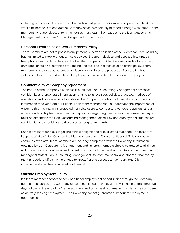including termination. If a team member finds a badge with the Company logo on it while at the work-site, he/she is to contact the Company office immediately to report a badge was found. Team members who are released from their duties must return their badges to the Lion Outsourcing Management office. (See "End of Assignment Procedures")

# **Personal Electronics on Work Premises Policy**

Team members are not to possess any personal electronics inside of the Clients' facilities including but not limited to mobile phones, music devices, Bluetooth devices and accessories, laptops, headphones, ear buds, tablets, etc. Neither the Company nor Client are responsible for any lost, damaged, or stolen electronics brought into the facilities in direct violation of this policy. Team members found to be using personal electronics while on the production floor are in direct violation of this policy and will face disciplinary action, including termination of employment.

# **Confidentiality of Company Agreement**

The nature of the Company's business is such that Lion Outsourcing Management possesses confidential and proprietary information relating to its business policies, practices, methods of operations, and customer lists. In addition, the Company handles confidential and proprietary information received from our Clients. Each team member should understand the importance of ensuring this information is protected from disclosure to competitors, vendors, suppliers, and all other outsiders. Any team members with questions regarding their position, performance, pay, etc., must be directed to the Lion Outsourcing Management office. Pay and employment statuses are confidential and should not be discussed among team members.

Each team member has a legal and ethical obligation to take all steps reasonably necessary to keep the affairs of Lion Outsourcing Management and its Clients confidential. This obligation continues even after team members are no longer employed with the Company. Information obtained by Lion Outsourcing Management and its team members should be treated at all times with the utmost confidentiality and discretion and should not be disclosed to anyone other than managerial staff of Lion Outsourcing Management, its team members, and others authorized by the managerial staff as having a need to know. For this purpose all Company and Client information should be considered confidential.

# **Outside Employment Policy**

If a team member chooses to seek additional employment opportunities through the Company, he/she must contact the Company office to be placed on the availability list no later than three (3) days following the end of his/her assignment and once weekly thereafter in order to be considered as actively seeking employment. The Company cannot guarantee subsequent employment opportunities.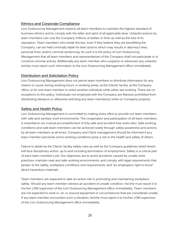# **Ethnics and Corporate Compliance**

Lion Outsourcing Management expects all team members to maintain the highest standard of business ethnics and to comply with the letter and spirit of all applicable laws. Unlawful actions by team members can cost the Company millions of dollars in fines as well as the loss of its reputation. Team members who break the law, even if they believe they are benefitting the Company, can be held criminally liable for their actions which may results in attorney's fees, personal fines, and/or criminal sentencing. As such it is the policy of Lion Outsourcing Management that all team members and representatives of the Company shall not participate in or condone criminal activity. Additionally any team member who suspects or witnesses any unlawful activity must report such information to the Lion Outsourcing Management office immediately.

## **Distribution and Solicitation Policy**

Lion Outsourcing Management does not permit team members to distribute information for any reason or cause during working hours, in working areas, at the Clients' facility, at the Company office, or for one team member to solicit another individual while either are working. There are no exceptions to this policy. Individuals not employed with the Company are likewise prohibited from distributing literature or otherwise soliciting any team member(s) while on Company property.

## **Safety and Health Policy**

Lion Outsourcing Management is committed to making every effort to provide our team members with safe and sanitary work environments. The cooperation and participation of all team members is essential to our mutual accomplishment of fully safe and accident free work-sites. Safe working conditions and safe team members can be achieved solely through safety awareness and actions by all team members at all times. Company and Client management should be informed if any team member perceives some working conditions pose a risk to the health and safety of others.

Failure to abide by the Clients' facility safety rules as well as the Company guidelines listed herein will face disciplinary action, up to and including termination of employment. Safety is a critical part of each team member's job. Our objectives are to avoid accidents caused by unsafe work practices; maintain neat and safe working environments; and comply with legal requirements that pertain to fire safety, workplace conditions and requirements, and "an employee's right to know" about hazardous materials.

Team members are expected to take an active role in promoting and maintaining workplace safety. Should any team member witness an accident of unsafe condition, he/she must report it to his/her LOM supervisor of the Lion Outsourcing Management office immediately. Team members are not expected to work in, on, or around equipment or circumstances that are considered unsafe. If any team member encounters such a situation, he/she must report it to his/her LOM supervisor of the Lion Outsourcing Management office immediately.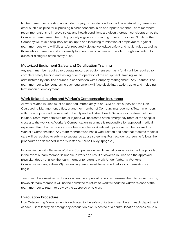No team member reporting an accident, injury, or unsafe condition will face retaliation, penalty, or other such discipline for expressing his/her concerns in an appropriate manner. Team members' recommendations to improve safety and health conditions are given thorough consideration by the Company management team. Top priority is given to correcting unsafe conditions. Similarly, the Company will take disciplinary action, up to and including termination of employment, against team members who willfully and/or repeatedly violate workplace safety and health rules as well as those who experience and abnormally high number of injuries on the job through inattention to duties or disregard of the safety rules.

## **Motorized Equipment Safety and Certification Training**

Any team member required to operate motorized equipment such as a forklift will be required to complete safety training and testing prior to operation of the equipment. Training will be administered by qualified sources in cooperation with Company management. Any unauthorized team member to be found using such equipment will face disciplinary action, up to and including termination of employment.

## **Work Related Injuries and Worker's Compensation Insurance**

All work related injuries must be reported immediately to an LOM on-site supervisor, the Lion Outsourcing Management office, or another member of Company management. Team members with minor injuries will be referred to Family and Industrial Health Services for treatment of their injuries. Team members with major injuries will be treated at the emergency room of the hospital closest to the work-site. Worker's Compensation insurance is responsible for approved medical expenses. Unauthorized visits and/or treatment for work related injuries will not be covered by Worker's Compensation. Any team member who has a work related accident that requires medical care will be required to submit to substance abuse screening. Post-accident screening follows the procedures as described in the "Substance Abuse Policy" (page 25)

In compliance with Alabama Worker's Compensation law, financial compensation will be provided in the event a team member is unable to work as a result of covered injuries and the approved physician does not allow the team member to return to work. Under Alabama Worker's Compensation law, a three (3) day waiting period must be satisfied before compensation can begin.

Team members must return to work when the approved physician releases them to return to work; however; team members will not be permitted to return to work without the written release of the team member to return to duty by the approved physician.

## **Evacuation Procedure**

Lion Outsourcing Management is dedicated to the safety of its team members. In each department of each Client facility an emergency evacuation plan is posted at a central location accessible to all

27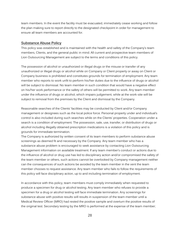team members. In the event the facility must be evacuated, immediately cease working and follow the plan making sure to report directly to the designated checkpoint in order for management to ensure all team members are accounted for.

#### **Substance Abuse Policy**

This policy was established and is maintained with the health and safety of the Company's team members, Clients, and the general public in mind. All current and prospective team members of Lion Outsourcing Management are subject to the terms and conditions of this policy.

The possession of alcohol or unauthorized or illegal drugs or the misuse or transfer of any unauthorized or illegal drugs or alcohol while on Company or Client property or away on Client or Company business is prohibited and constitutes grounds for termination of employment. Any team member who reports to work unfit to perform his/her duties due to the influence of drugs or alcohol will be subject to dismissal. No team member in such condition that would have a negative effect on his/her work performance or the safety of others will be permitted to work. Any team member under the influence of drugs or alcohol, which impairs judgement, while at the work-site will be subject to removal from the premises by the Client and dismissal by the Company.

Reasonable searches of the Clients' facilities may be conducted by Client and/or Company management or designees such as the local police force. Personal property under and individual's control is also included during such searches while on the Clients' properties. Cooperation under a search is a condition of employment. The possession, sale, use, transfer, or distribution of drugs or alcohol including illegally obtained prescription medications is a violation of this policy and is grounds for immediate termination.

The Company is authorized by written consent of its team members to perform substance abuse screenings as deemed fit and necessary by the Company. Any team member who has a substance abuse problem is encouraged to seek assistance by contacting Lion Outsourcing Management information on available treatment. If any team member's conduct or actions due to the influence of alcohol or drug use has led to disciplinary action and/or compromised the safety of the team member or others, such actions cannot be overlooked by Company management neither can the consequences of such actions be avoided by the team member in the vent the team member chooses to request assistance. Any team member who fails to follow the requirements of this policy will face disciplinary action, up to and including termination of employment.

In accordance with this policy, team members must comply immediately when requested to produce a specimen for drug or alcohol testing. Any team member who refuses to provide a specimen for a drug or alcohol testing will face immediate termination. Any screenings for substance abuse with positive results will results in suspension of the team member until a Medical Review Officer (MRO) had rested the positive sample and overturn the positive results of the original test. Secondary testing by the MRO is performed at the expense of the team member;